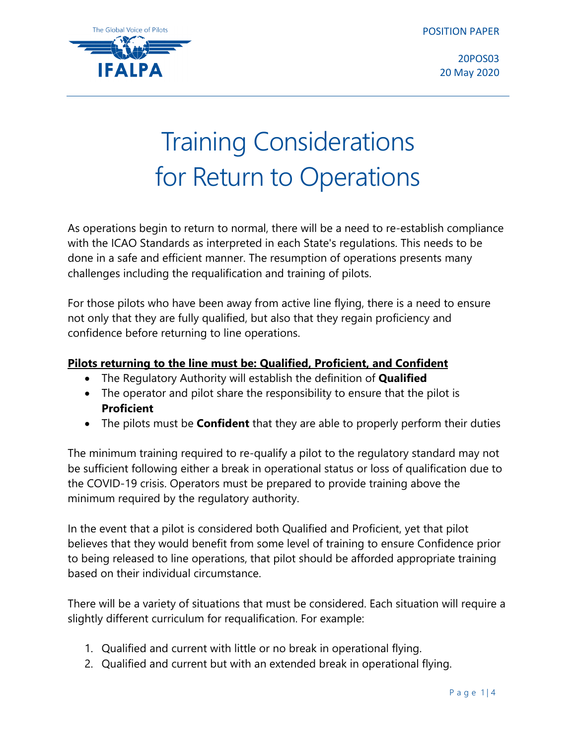POSITION PAPER



20POS03 20 May 2020

# Training Considerations for Return to Operations

As operations begin to return to normal, there will be a need to re-establish compliance with the ICAO Standards as interpreted in each State's regulations. This needs to be done in a safe and efficient manner. The resumption of operations presents many challenges including the requalification and training of pilots.

For those pilots who have been away from active line flying, there is a need to ensure not only that they are fully qualified, but also that they regain proficiency and confidence before returning to line operations.

# **Pilots returning to the line must be: Qualified, Proficient, and Confident**

- The Regulatory Authority will establish the definition of **Qualified**
- The operator and pilot share the responsibility to ensure that the pilot is **Proficient**
- The pilots must be **Confident** that they are able to properly perform their duties

The minimum training required to re-qualify a pilot to the regulatory standard may not be sufficient following either a break in operational status or loss of qualification due to the COVID-19 crisis. Operators must be prepared to provide training above the minimum required by the regulatory authority.

In the event that a pilot is considered both Qualified and Proficient, yet that pilot believes that they would benefit from some level of training to ensure Confidence prior to being released to line operations, that pilot should be afforded appropriate training based on their individual circumstance.

There will be a variety of situations that must be considered. Each situation will require a slightly different curriculum for requalification. For example:

- 1. Qualified and current with little or no break in operational flying.
- 2. Qualified and current but with an extended break in operational flying.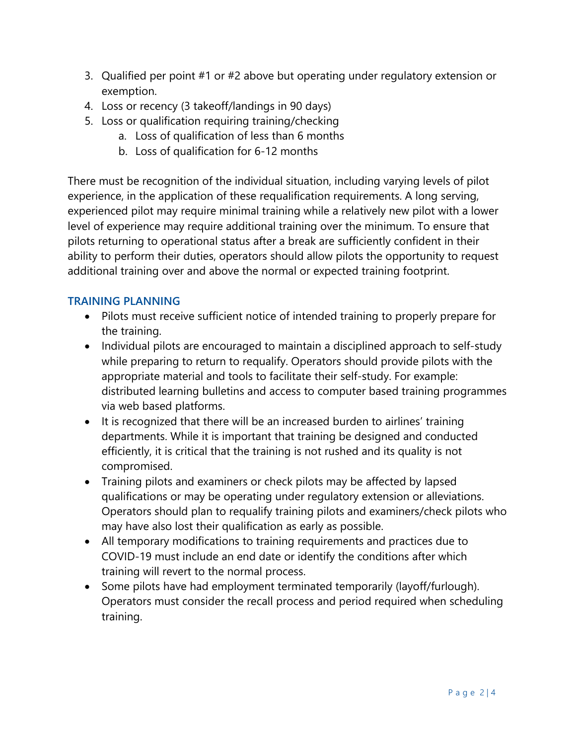- 3. Qualified per point #1 or #2 above but operating under regulatory extension or exemption.
- 4. Loss or recency (3 takeoff/landings in 90 days)
- 5. Loss or qualification requiring training/checking
	- a. Loss of qualification of less than 6 months
	- b. Loss of qualification for 6-12 months

There must be recognition of the individual situation, including varying levels of pilot experience, in the application of these requalification requirements. A long serving, experienced pilot may require minimal training while a relatively new pilot with a lower level of experience may require additional training over the minimum. To ensure that pilots returning to operational status after a break are sufficiently confident in their ability to perform their duties, operators should allow pilots the opportunity to request additional training over and above the normal or expected training footprint.

### **TRAINING PLANNING**

- Pilots must receive sufficient notice of intended training to properly prepare for the training.
- Individual pilots are encouraged to maintain a disciplined approach to self-study while preparing to return to requalify. Operators should provide pilots with the appropriate material and tools to facilitate their self-study. For example: distributed learning bulletins and access to computer based training programmes via web based platforms.
- It is recognized that there will be an increased burden to airlines' training departments. While it is important that training be designed and conducted efficiently, it is critical that the training is not rushed and its quality is not compromised.
- Training pilots and examiners or check pilots may be affected by lapsed qualifications or may be operating under regulatory extension or alleviations. Operators should plan to requalify training pilots and examiners/check pilots who may have also lost their qualification as early as possible.
- All temporary modifications to training requirements and practices due to COVID-19 must include an end date or identify the conditions after which training will revert to the normal process.
- Some pilots have had employment terminated temporarily (layoff/furlough). Operators must consider the recall process and period required when scheduling training.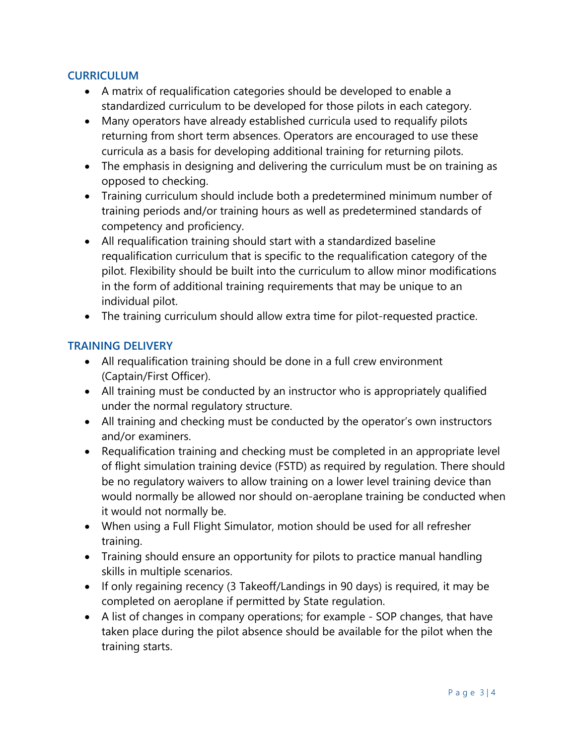## **CURRICULUM**

- A matrix of requalification categories should be developed to enable a standardized curriculum to be developed for those pilots in each category.
- Many operators have already established curricula used to requalify pilots returning from short term absences. Operators are encouraged to use these curricula as a basis for developing additional training for returning pilots.
- The emphasis in designing and delivering the curriculum must be on training as opposed to checking.
- Training curriculum should include both a predetermined minimum number of training periods and/or training hours as well as predetermined standards of competency and proficiency.
- All requalification training should start with a standardized baseline requalification curriculum that is specific to the requalification category of the pilot. Flexibility should be built into the curriculum to allow minor modifications in the form of additional training requirements that may be unique to an individual pilot.
- The training curriculum should allow extra time for pilot-requested practice.

# **TRAINING DELIVERY**

- All requalification training should be done in a full crew environment (Captain/First Officer).
- All training must be conducted by an instructor who is appropriately qualified under the normal regulatory structure.
- All training and checking must be conducted by the operator's own instructors and/or examiners.
- Requalification training and checking must be completed in an appropriate level of flight simulation training device (FSTD) as required by regulation. There should be no regulatory waivers to allow training on a lower level training device than would normally be allowed nor should on-aeroplane training be conducted when it would not normally be.
- When using a Full Flight Simulator, motion should be used for all refresher training.
- Training should ensure an opportunity for pilots to practice manual handling skills in multiple scenarios.
- If only regaining recency (3 Takeoff/Landings in 90 days) is required, it may be completed on aeroplane if permitted by State regulation.
- A list of changes in company operations; for example SOP changes, that have taken place during the pilot absence should be available for the pilot when the training starts.